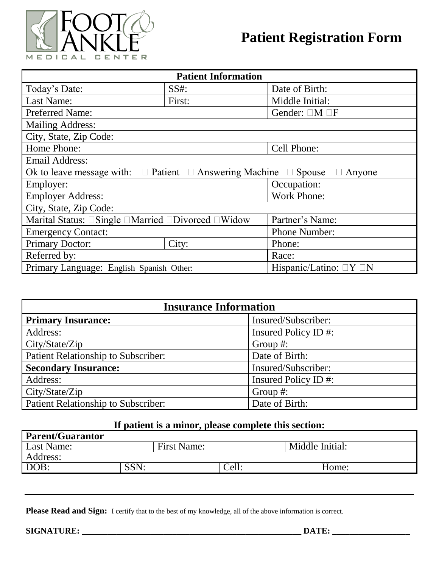

| <b>Patient Information</b>                                           |                                  |                    |  |  |  |
|----------------------------------------------------------------------|----------------------------------|--------------------|--|--|--|
| Today's Date:                                                        | $SS#$ :                          | Date of Birth:     |  |  |  |
| Last Name:                                                           | First:                           | Middle Initial:    |  |  |  |
| <b>Preferred Name:</b>                                               |                                  | Gender: □M □F      |  |  |  |
| <b>Mailing Address:</b>                                              |                                  |                    |  |  |  |
| City, State, Zip Code:                                               |                                  |                    |  |  |  |
| Home Phone:                                                          |                                  | Cell Phone:        |  |  |  |
| <b>Email Address:</b>                                                |                                  |                    |  |  |  |
| $\Box$ Patient $\Box$ Answering Machine<br>Ok to leave message with: | Spouse<br>Anyone                 |                    |  |  |  |
| Employer:                                                            |                                  | Occupation:        |  |  |  |
| <b>Employer Address:</b>                                             |                                  | <b>Work Phone:</b> |  |  |  |
| City, State, Zip Code:                                               |                                  |                    |  |  |  |
| Marital Status: □Single □Married □Divorced □Widow                    |                                  | Partner's Name:    |  |  |  |
| <b>Emergency Contact:</b>                                            | <b>Phone Number:</b>             |                    |  |  |  |
| <b>Primary Doctor:</b><br>City:                                      |                                  | Phone:             |  |  |  |
| Referred by:                                                         | Race:                            |                    |  |  |  |
| Primary Language: English Spanish Other:                             | Hispanic/Latino: $\Box Y \Box N$ |                    |  |  |  |

| <b>Insurance Information</b>               |                      |  |  |  |
|--------------------------------------------|----------------------|--|--|--|
| <b>Primary Insurance:</b>                  | Insured/Subscriber:  |  |  |  |
| Address:                                   | Insured Policy ID #: |  |  |  |
| City/State/Zip                             | Group $#$ :          |  |  |  |
| Patient Relationship to Subscriber:        | Date of Birth:       |  |  |  |
| <b>Secondary Insurance:</b>                | Insured/Subscriber:  |  |  |  |
| Address:                                   | Insured Policy ID #: |  |  |  |
| City/State/Zip                             | Group $#$ :          |  |  |  |
| <b>Patient Relationship to Subscriber:</b> | Date of Birth:       |  |  |  |

# **If patient is a minor, please complete this section:**

| <b>Parent/Guarantor</b> |                    |       |                 |
|-------------------------|--------------------|-------|-----------------|
| Last Name:              | <b>First Name:</b> |       | Middle Initial: |
| Address:                |                    |       |                 |
| DOB:                    | SSN:               | Cell: | Home:           |

Please Read and Sign: I certify that to the best of my knowledge, all of the above information is correct.

**SIGNATURE: \_\_\_\_\_\_\_\_\_\_\_\_\_\_\_\_\_\_\_\_\_\_\_\_\_\_\_\_\_\_\_\_\_\_\_\_\_\_\_\_\_\_\_\_\_\_\_\_\_\_\_ DATE: \_\_\_\_\_\_\_\_\_\_\_\_\_\_\_\_\_\_**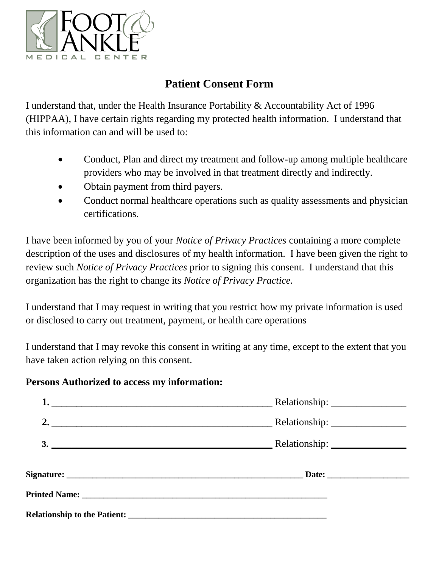

# **Patient Consent Form**

I understand that, under the Health Insurance Portability & Accountability Act of 1996 (HIPPAA), I have certain rights regarding my protected health information. I understand that this information can and will be used to:

- Conduct, Plan and direct my treatment and follow-up among multiple healthcare providers who may be involved in that treatment directly and indirectly.
- Obtain payment from third payers.
- Conduct normal healthcare operations such as quality assessments and physician certifications.

I have been informed by you of your *Notice of Privacy Practices* containing a more complete description of the uses and disclosures of my health information. I have been given the right to review such *Notice of Privacy Practices* prior to signing this consent. I understand that this organization has the right to change its *Notice of Privacy Practice.* 

I understand that I may request in writing that you restrict how my private information is used or disclosed to carry out treatment, payment, or health care operations

I understand that I may revoke this consent in writing at any time, except to the extent that you have taken action relying on this consent.

# **Persons Authorized to access my information:**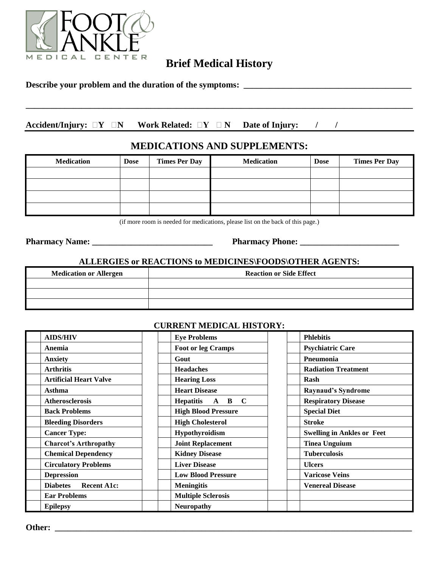

# **Brief Medical History**

**\_\_\_\_\_\_\_\_\_\_\_\_\_\_\_\_\_\_\_\_\_\_\_\_\_\_\_\_\_\_\_\_\_\_\_\_\_\_\_\_\_\_\_\_\_\_\_\_\_\_\_\_\_\_\_\_\_\_\_\_\_\_\_\_\_\_\_\_\_\_\_\_\_\_\_\_\_\_\_\_\_\_\_\_\_\_\_\_\_\_**

|  | Describe your problem and the duration of the symptoms: |  |
|--|---------------------------------------------------------|--|
|  |                                                         |  |

Accident/Injury:  $\Box Y$   $\Box N$  Work Related:  $\Box Y$   $\Box N$  Date of Injury: / /

# **MEDICATIONS AND SUPPLEMENTS:**

| <b>Medication</b> | <b>Dose</b> | <b>Times Per Day</b> | <b>Medication</b> | <b>Dose</b> | <b>Times Per Day</b> |
|-------------------|-------------|----------------------|-------------------|-------------|----------------------|
|                   |             |                      |                   |             |                      |
|                   |             |                      |                   |             |                      |
|                   |             |                      |                   |             |                      |
|                   |             |                      |                   |             |                      |

(if more room is needed for medications, please list on the back of this page.)

**Pharmacy Name: \_\_\_\_\_\_\_\_\_\_\_\_\_\_\_\_\_\_\_\_\_\_\_\_\_\_\_\_ Pharmacy Phone: \_\_\_\_\_\_\_\_\_\_\_\_\_\_\_\_\_\_\_\_\_\_\_**

### **ALLERGIES or REACTIONS to MEDICINES\FOODS\OTHER AGENTS:**

| <b>Medication or Allergen</b> | <b>Reaction or Side Effect</b> |
|-------------------------------|--------------------------------|
|                               |                                |
|                               |                                |
|                               |                                |

| <b>AIDS/HIV</b>                       |  | <b>Eye Problems</b>        |  | <b>Phlebitis</b>                  |  |               |
|---------------------------------------|--|----------------------------|--|-----------------------------------|--|---------------|
| Anemia                                |  | <b>Foot or leg Cramps</b>  |  | <b>Psychiatric Care</b>           |  |               |
| <b>Anxiety</b>                        |  | Gout                       |  | Pneumonia                         |  |               |
| <b>Arthritis</b>                      |  | <b>Headaches</b>           |  | <b>Radiation Treatment</b>        |  |               |
| <b>Artificial Heart Valve</b>         |  | <b>Hearing Loss</b>        |  | Rash                              |  |               |
| <b>Asthma</b>                         |  | <b>Heart Disease</b>       |  | <b>Raynaud's Syndrome</b>         |  |               |
| <b>Atherosclerosis</b>                |  | Hepatitis A B C            |  | <b>Respiratory Disease</b>        |  |               |
| <b>Back Problems</b>                  |  | <b>High Blood Pressure</b> |  | <b>Special Diet</b>               |  |               |
| <b>Bleeding Disorders</b>             |  | <b>High Cholesterol</b>    |  |                                   |  | <b>Stroke</b> |
| <b>Cancer Type:</b>                   |  | Hypothyroidism             |  | <b>Swelling in Ankles or Feet</b> |  |               |
| <b>Charcot's Arthropathy</b>          |  | <b>Joint Replacement</b>   |  | <b>Tinea Unguium</b>              |  |               |
| <b>Chemical Dependency</b>            |  | <b>Kidney Disease</b>      |  | <b>Tuberculosis</b>               |  |               |
| <b>Circulatory Problems</b>           |  | <b>Liver Disease</b>       |  | <b>Ulcers</b>                     |  |               |
| <b>Depression</b>                     |  | <b>Low Blood Pressure</b>  |  | <b>Varicose Veins</b>             |  |               |
| <b>Recent A1c:</b><br><b>Diabetes</b> |  | <b>Meningitis</b>          |  | <b>Venereal Disease</b>           |  |               |
| <b>Ear Problems</b>                   |  | <b>Multiple Sclerosis</b>  |  |                                   |  |               |
| <b>Epilepsy</b>                       |  | <b>Neuropathy</b>          |  |                                   |  |               |

#### **CURRENT MEDICAL HISTORY:**

Other: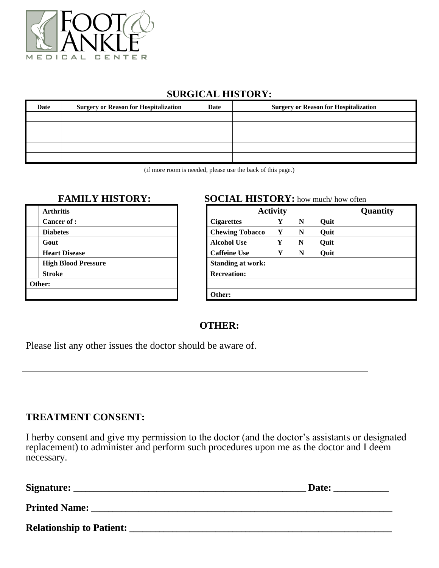

# **SURGICAL HISTORY:**

| Date | <b>Surgery or Reason for Hospitalization</b> | Date | <b>Surgery or Reason for Hospitalization</b> |
|------|----------------------------------------------|------|----------------------------------------------|
|      |                                              |      |                                              |
|      |                                              |      |                                              |
|      |                                              |      |                                              |
|      |                                              |      |                                              |
|      |                                              |      |                                              |

(if more room is needed, please use the back of this page.)

| <b>Arthritis</b>           |                          | <b>Activity</b> |   |             |  |
|----------------------------|--------------------------|-----------------|---|-------------|--|
| <b>Cancer of :</b>         | <b>Cigarettes</b>        |                 | N | <b>Quit</b> |  |
| <b>Diabetes</b>            | <b>Chewing Tobacco</b>   | Y               | N | <b>Quit</b> |  |
| Gout                       | <b>Alcohol Use</b>       | Y               | N | Quit        |  |
| <b>Heart Disease</b>       | <b>Caffeine Use</b>      |                 | N | <b>Quit</b> |  |
| <b>High Blood Pressure</b> | <b>Standing at work:</b> |                 |   |             |  |
| <b>Stroke</b>              | <b>Recreation:</b>       |                 |   |             |  |
| Other:                     |                          |                 |   |             |  |
|                            | Other:                   |                 |   |             |  |

## **FAMILY HISTORY: SOCIAL HISTORY:** how much/ how often

| <b>Arthritis</b>           | <b>Activity</b>          |  |   |      | Quantity |
|----------------------------|--------------------------|--|---|------|----------|
| <b>Cancer of :</b>         | <b>Cigarettes</b>        |  | N | Quit |          |
| <b>Diabetes</b>            | <b>Chewing Tobacco</b>   |  | N | Quit |          |
| Gout                       | <b>Alcohol Use</b>       |  | N | Quit |          |
| <b>Heart Disease</b>       | <b>Caffeine Use</b>      |  | N | Quit |          |
| <b>High Blood Pressure</b> | <b>Standing at work:</b> |  |   |      |          |
| Stroke                     | <b>Recreation:</b>       |  |   |      |          |
| err:                       |                          |  |   |      |          |
|                            | Other:                   |  |   |      |          |

# **OTHER:**

Please list any other issues the doctor should be aware of.

# **TREATMENT CONSENT:**

I herby consent and give my permission to the doctor (and the doctor's assistants or designated replacement) to administer and perform such procedures upon me as the doctor and I deem necessary.

| Signature:                      | Date: |
|---------------------------------|-------|
| <b>Printed Name:</b>            |       |
| <b>Relationship to Patient:</b> |       |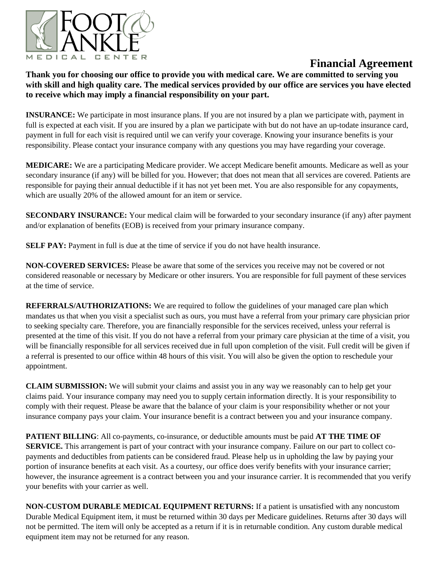

# **Financial Agreement**

**Thank you for choosing our office to provide you with medical care. We are committed to serving you with skill and high quality care. The medical services provided by our office are services you have elected to receive which may imply a financial responsibility on your part.** 

**INSURANCE:** We participate in most insurance plans. If you are not insured by a plan we participate with, payment in full is expected at each visit. If you are insured by a plan we participate with but do not have an up-todate insurance card, payment in full for each visit is required until we can verify your coverage. Knowing your insurance benefits is your responsibility. Please contact your insurance company with any questions you may have regarding your coverage.

**MEDICARE:** We are a participating Medicare provider. We accept Medicare benefit amounts. Medicare as well as your secondary insurance (if any) will be billed for you. However; that does not mean that all services are covered. Patients are responsible for paying their annual deductible if it has not yet been met. You are also responsible for any copayments, which are usually 20% of the allowed amount for an item or service.

**SECONDARY INSURANCE:** Your medical claim will be forwarded to your secondary insurance (if any) after payment and/or explanation of benefits (EOB) is received from your primary insurance company.

**SELF PAY:** Payment in full is due at the time of service if you do not have health insurance.

**NON-COVERED SERVICES:** Please be aware that some of the services you receive may not be covered or not considered reasonable or necessary by Medicare or other insurers. You are responsible for full payment of these services at the time of service.

**REFERRALS/AUTHORIZATIONS:** We are required to follow the guidelines of your managed care plan which mandates us that when you visit a specialist such as ours, you must have a referral from your primary care physician prior to seeking specialty care. Therefore, you are financially responsible for the services received, unless your referral is presented at the time of this visit. If you do not have a referral from your primary care physician at the time of a visit, you will be financially responsible for all services received due in full upon completion of the visit. Full credit will be given if a referral is presented to our office within 48 hours of this visit. You will also be given the option to reschedule your appointment.

**CLAIM SUBMISSION:** We will submit your claims and assist you in any way we reasonably can to help get your claims paid. Your insurance company may need you to supply certain information directly. It is your responsibility to comply with their request. Please be aware that the balance of your claim is your responsibility whether or not your insurance company pays your claim. Your insurance benefit is a contract between you and your insurance company.

**PATIENT BILLING**: All co-payments, co-insurance, or deductible amounts must be paid **AT THE TIME OF SERVICE.** This arrangement is part of your contract with your insurance company. Failure on our part to collect copayments and deductibles from patients can be considered fraud. Please help us in upholding the law by paying your portion of insurance benefits at each visit. As a courtesy, our office does verify benefits with your insurance carrier; however, the insurance agreement is a contract between you and your insurance carrier. It is recommended that you verify your benefits with your carrier as well.

**NON-CUSTOM DURABLE MEDICAL EQUIPMENT RETURNS:** If a patient is unsatisfied with any noncustom Durable Medical Equipment item, it must be returned within 30 days per Medicare guidelines. Returns after 30 days will not be permitted. The item will only be accepted as a return if it is in returnable condition. Any custom durable medical equipment item may not be returned for any reason.